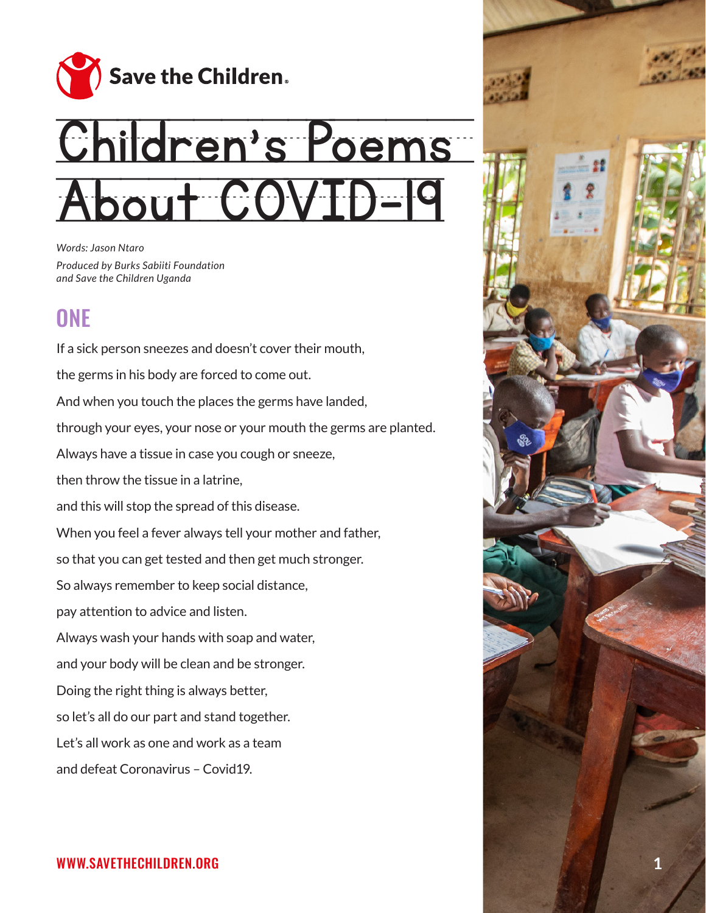

# Children's Poems About COVID-19

*Words: Jason Ntaro Produced by Burks Sabiiti Foundation and Save the Children Uganda*

# **ONE**

If a sick person sneezes and doesn't cover their mouth, the germs in his body are forced to come out. And when you touch the places the germs have landed, through your eyes, your nose or your mouth the germs are planted. Always have a tissue in case you cough or sneeze, then throw the tissue in a latrine, and this will stop the spread of this disease. When you feel a fever always tell your mother and father, so that you can get tested and then get much stronger. So always remember to keep social distance, pay attention to advice and listen. Always wash your hands with soap and water, and your body will be clean and be stronger. Doing the right thing is always better, so let's all do our part and stand together. Let's all work as one and work as a team and defeat Coronavirus – Covid19.

#### WWW.SAVETHECHILDREN.ORG **1**